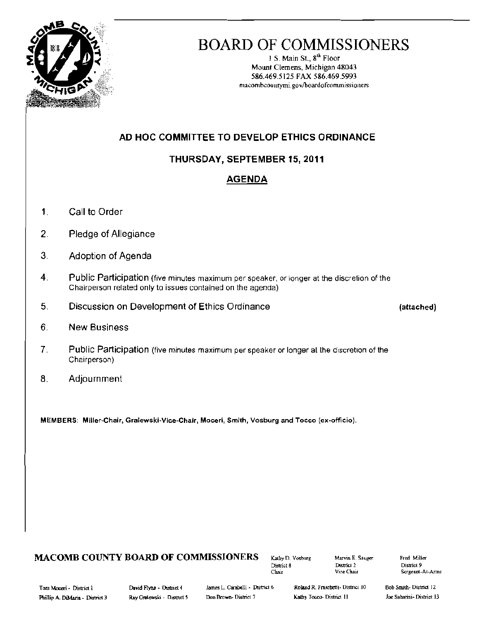

# BOARD OF COMMISSIONERS

1 S. Main St.,  $8^{th}$  Floor Mount Clemens, Michigan 48043 586.469.5125 FAX 586.469.5993 macombcountymi.gov/boardofcommissioners

# AD HOC COMMITTEE TO DEVELOP ETHICS ORDINANCE

# THURSDAY, SEPTEMBER 15, 2011

# AGENDA

- 1. Call to Order
- 2. Pledge of Allegiance
- 3. Adoption of Agenda
- 4. Public Participation (five minutes maximum per speaker, or longer at the discretion of the Chairperson related only to issues contained on the agenda)
- 5. Discussion on Development of Ethics Ordinance (attached)

- 6. New Business
- 7. Public Participation (five minutes maximum per speaker or longer at the discretion of the Chairperson)
- 8. Adjournment

MEMBERS: Miller-Chair, Gralewski·Vice.Chair, Moceri, Smith, Vosburg and Tocco (ex-officio).

# **MACOMB COUNTY BOARD OF COMMISSIONERS**  $_{\text{Kably D. Vostoug}}$   $_{\text{Maxvin E. Sauge}}$  Fred Miller District 9

District 2<br>Vice Chair

Chair Vice Chair Sergeant-At-Arms

Tann Moceri - District 1 David Flynn - District 4 James L. Carabelli - District 6 Roland R. Fraschetti- District 10 Bob Smith- District 12

Joe Sabatini-District 13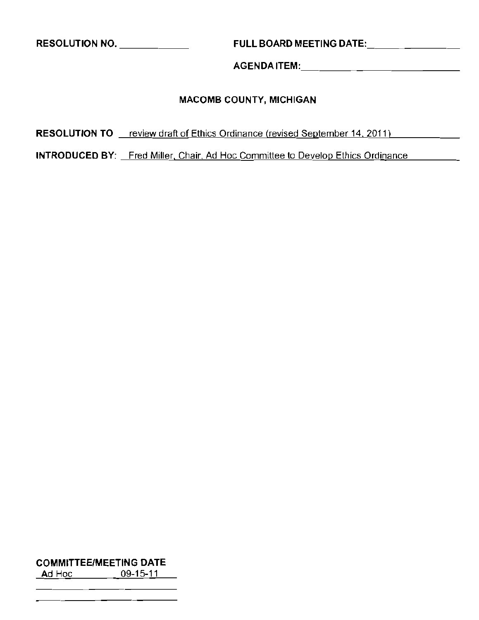**RESOLUTION NO.** \_ **FULL BOARD MEETING** DATE: \_

AGENDAITEM: \_

# **MACOMB COUNTY, MICHIGAN**

RESOLUTION TO <u>Freview draft of Ethics Ordinance (revised September 14, 2011)</u>

**INTRODUCED** BY: Fred Miller, Chair, Ad Hoc Committee to Develop Ethics Ordinance

# **COMMITTEEIMEETING DATE**

Ad Hoc <u>09-15-11</u>  $\overline{\phantom{a}}$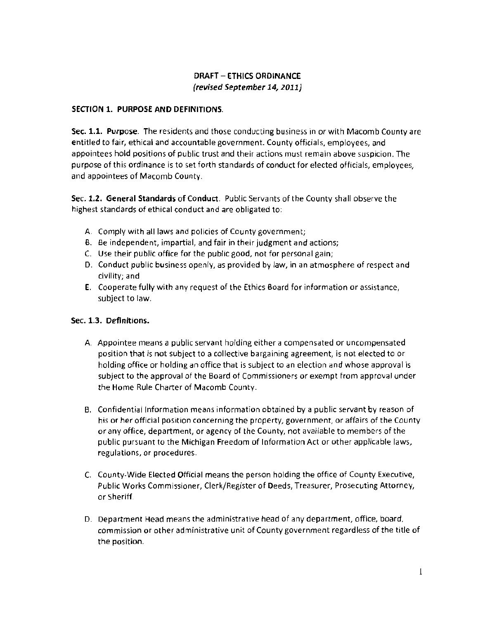# DRAFT - ETHICS ORDINANCE (revised September 14, 2011)

## SECTION 1. PURPOSE AND DEFINITIONS.

Sec. 1.1. Purpose. The residents and those conducting business in or with Macomb County are entitled to fair, ethical and accountable government. County officials, employees, and appointees hold positions of public trust and their actions must remain above suspicion. The purpose of this ordinance is to set forth standards of conduct for elected officials, employees, and appointees of Macomb County.

Sec. 1.2. General Standards of Conduct. Public Servants of the County shall observe the highest standards of ethical conduct and are obligated to:

- A. Comply with all laws and policies of County government;
- B. Be independent, impartial, and fair in their judgment and actions;
- C. Use their public office for the public good, not for personal gain;
- D. Conduct public business openly, as provided by law, in an atmosphere of respect and civility; and
- **E.** Cooperate fully with any request of the Ethics Board for information or assistance, subject to law.

#### Sec. 1.3. Definitions.

- A. Appointee means a public servant holding either a compensated or uncompensated position that is not subject to a collective bargaining agreement, is not elected to or holding office or holding an office that is subject to an election and whose approval is subject to the approval of the Board of Commissioners or exempt from approval under the Home Rule Charter of Macomb County.
- B. Confidential Information means information obtained by a public servant by reason of his or her official position concerning the property, government, or affairs of the County or any office, department, or agency of the County, not available to members of the public pursuant to the Michigan Freedom of Information Act or other applicable laws, regulations, or procedures.
- C. County-Wide Elected Official means the person holding the office of County Executive, Public Works Commissioner, Clerk/Register of Deeds, Treasurer, Prosecuting Attorney, or Sheriff.
- D. Department Head means the administrative head of any department, office, board, commission or other administrative unit of County government regardless of the title of the position.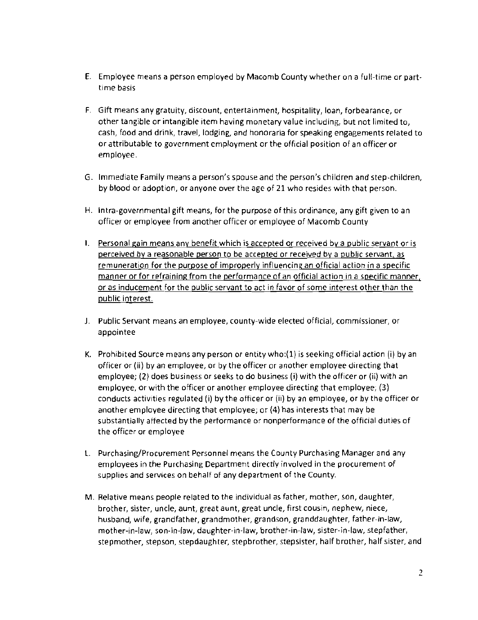- E. Employee means a person employed by Macomb County whether on a full-time or parttime basis
- F. Gift means any gratuity, discount, entertainment, hospitality, loan, forbearance, or other tangible or intangible item having monetary value including, but not limited to, cash, food and drink, travel, lodging, and honoraria for speaking engagements related to or attributable to government employment or the official position of an officer or employee.
- G. Immediate Family means a person's spouse and the person's children and step-children, by blood or adoption, or anyone over the age of 21 who resides with that person.
- H. Intra-governmental gift means, for the purpose of this ordinance, any gift given to an officer or employee from another officer or employee of Macomb County
- I. Personal gain means any benefit which is accepted or received by a public servant or is perceived by a reasonable person to be accepted or received by a public servant, as remuneration for the purpose of improperly influencing an official action in a specific manner or for refraining from the performance of an official action in a specific manner, or as inducement for the public servant to act in favor of some interest other than the public interest.
- J. Public Servant means an employee, county-wide elected official, commissioner, or appointee
- K. Prohibited Source means any person or entity who:(1) is seeking official action (i) by an officer or (ii) by an employee, or by the officer or another employee directing that employee; (2) does business or seeks to do business (i) with the officer or (Ii) with an employee, or with the officer or another employee directing that employee; (3) conducts actiVities regulated (i) by the officer or (ii) by an employee, or by the officer or another employee directing that employee; or (4) has interests that may be substantially affected by the performance or nonperformance of the official duties of the officer or employee
- 1. Purchasing/Procurement Personnel means the County Purchasing Manager and any employees in the Purchasing Department directly involved in the procurement of supplies and services on behalf of any department of the County.
- M. Relative means people related to the individual as father, mother, son, daughter, brother, sister, uncle, aunt, great aunt, great uncle, first cousin, nephew, niece, husband, wife, grandfather, grandmother, grandson, granddaughter, father-in-law, mother-in-law, son-in-law, daughter-in-law, brother-in-law, sister-in-law, stepfather, stepmother, stepson, stepdaughter, stepbrother, stepsister, half brother, half sister, and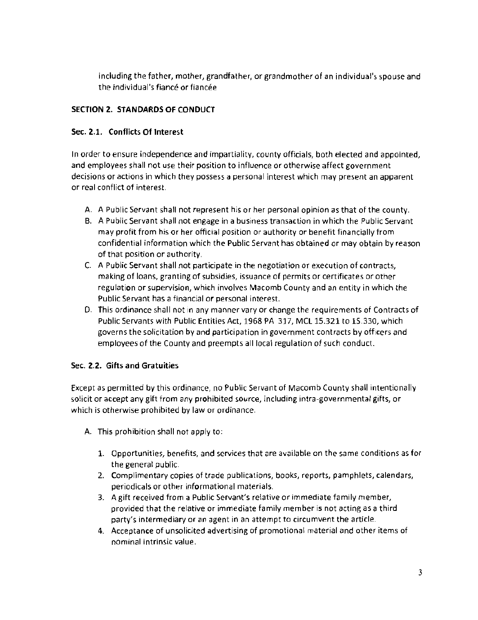including the father, mother, grandfather, or grandmother of an individual's spouse and the individual's fiance or fiancee

# SECTION 2. STANDARDS OF CONDUCT

# Sec. 2.1. Conflicts **Of** Interest

In order to ensure independence and impartiality, county officials, both elected and appointed, and employees shall not use their position to influence or otherwise affect government decisions or actions in which they possess a personal interest which may present an apparent or real conflict of interest.

- A. A Public Servant shall not represent his or her personal opinion as that of the county.
- B. A Public Servant shall not engage in a business transaction in which the Public Servant may profit from his or her official position or authority or benefit financially from confidential information which the Public Servant has obtained or may obtain by reason of that position or authority.
- C. A Public Servant shall not participate in the negotiation or execution of contracts, making of loans, granting of subsidies, issuance of permits or certificates or other regulation or supervision, which involves Macomb County and an entity in which the Public Servant has a financial or personal interest.
- D. This ordinance shall not in any manner vary or change the requirements of Contracts of Public Servants with Public Entities Act, 1968 PA 317, MCL 15.321 to 1S.330, which governs the solicitation by and participation in government contracts by officers and employees of the County and preempts all local regulation of such conduct.

## Sec. 2.2. Gifts **and** Gratuities

Except as permitted by this ordinance, no Public Servant of Macomb County shall intentionally solicit or accept any gift from any prohibited source, including intra-governmental gifts, or which is otherwise prohibited by law or ordinance.

- A. This prohibition shall not apply to:
	- 1. Opportunities, benefits, and services that are available on the same conditions as for the general public.
	- 2. Complimentary copies of trade publications, books, reports, pamphlets, calendars, periodicals or other informational materials.
	- 3. A gift received from a Public Servant's relative or immediate family member, provided that the relative or immediate family member is not acting as a third party's intermediary or an agent in an attempt to circumvent the article.
	- 4. Acceptance of unsolicited advertising of promotional material and other items of nominal intrinsic value.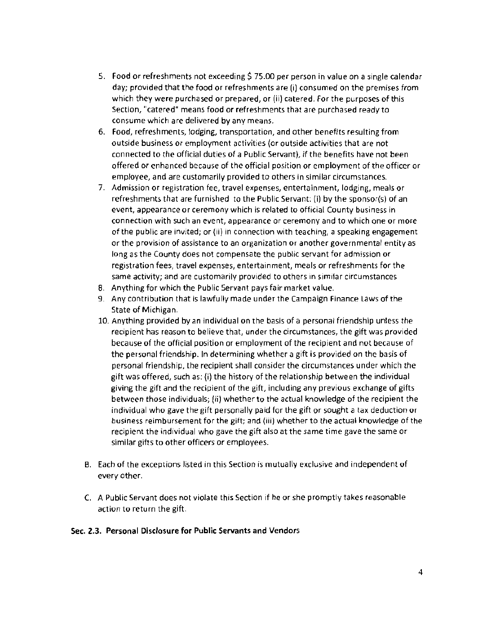- S. Food or refreshments not exceeding \$ 75.00 per person in value on a single calendar day; provided that the food or refreshments are (i) consumed on the premises from which they were purchased or prepared, or (ii) catered. For the purposes of this Section, "catered" means food or refreshments that are purchased ready to consume which are delivered by any means.
- 6. Food, refreshments, lodging, transportation, and other benefits resulting from outside business or employment activities (or outside activities that are not connected to the official duties of a Public Servant), if the benefits have not been offered or enhanced because of the official position or employment of the officer or employee, and are customarily provided to others in similar circumstances.
- 7. Admission or registration fee, travel expenses, entertainment, lodging, meals or refreshments that are furnished to the Public Servant: (i) by the sponsor{s) of an event, appearance or ceremony which is related to official County business in connection with such an event, appearance or ceremony and to which one or more of the public are invited; or (ii) in connection with teaching, a speaking engagement or the provision of assistance to an organization or another governmental entity as long as the County does not compensate the public servant for admission or registration fees, travel expenses, entertainment, meals or refreshments for the same activity; and are customarily provided to others in similar circumstances
- 8. Anything for which the Public Servant pays fair market value.
- 9. Any contribution that is lawfully made under the Campaign Finance Laws of the State of Michigan.
- 10. Anything provided by an individual on the basis of a personal friendship unless the recipient has reason to believe that, under the circumstances, the gift was provided because of the official position or employment of the recipient and not because of the personal friendship. In determining whether a gift is provided on the basis of personal friendship, the recipient shall consider the circumstances under which the gift was offered, such as: (i) the history of the relationship between the individual giving the gift and the recipient of the gift, including any previous exchange of gifts between those individuals; Iii) whether to the actual knowledge of the recipient the individual who gave the gift personally paid for the gift or sought a tax deduction or business reimbursement for the gift; and (iii) whether to the actual knowledge of the recipient the individual who gave the gift also at the same time gave the same or similar gifts to other officers or employees.
- B. Each of the exceptions listed in this Section is mutually exclusive and independent of every other.
- C. A Public Servant does not violate this Section if he or she promptly takes reasonable action to return the gift.

#### Sec. 2.3. Personal Disclosure for Public Servants and Vendors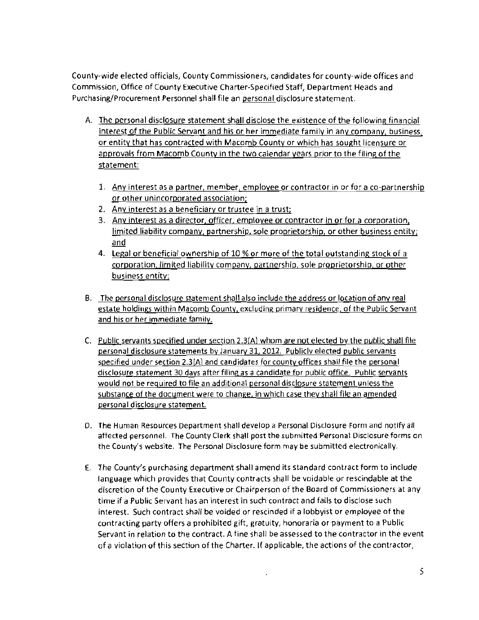County-wide elected officials, County Commissioners, candidates for county-wide offices and Commission, Office of County Executive Charter-Specified Staff, Department Heads and Purchasing/Procurement Personnel shall file an personal disclosure statement.

- A. The personal disclosure statement shall disclose the existence of the following financial interest of the Public Servant and his or her immediate family in any company, business, or entity that has contracted with Macomb County or which has sought licensure or approvals from Macomb County in the two calendar years prior to the filing of the statement:
	- 1. Any interest as a partner, member, employee or contractor in or for a co-partnership or other unincorporated association;
	- 2. Any interest as a beneficiary or trustee in a trust;
	- 3. Any interest as a director, officer, employee or contractor in or for a corporation, limited liability company, partnership, sole proprietorship, or other business entity; and
	- 4. Legal or beneficial ownership of 10 % or more of the total outstanding stock of a corporation, limited liability company, partnership, sale proprietorship. or other business entity;
- B. The personal disclosure statement shall also include the address or location of any real estate holdings within Macomb County, excluding primary residence, of the Public Servant and his or her immediate family.
- C. Public servants specified under section 2.3(A) whom are not elected by the public shall file personal disclosure statements by January 31,2012. Publicly elected public servants specified under section 2.3(A) and candidates for county offices shall file the personal disclosure statement 30 days after filing as a candidate for public office. Public servants would not be required to file an additional personal disclosure statement unless the substance of the document were to change, in which case they shall file an amended personal disclosure statement
- D. The Human Resources Department shall develop a Personal Disclosure Form and notify all affected personnel. The County Clerk shall post the submitted Personal Disclosure forms on the County's website, The Personal Disclosure form may be submitted electronically.
- $E.$  The County's purchasing department shall amend its standard contract form to include language which provides that County contracts shall be voidable or rescindable at the discretion of the County Executive or Chairperson of the Board of Commissioners at any time if a Public Servant has an interest in such contract and fails to disclose such interest. Such contract shall be voided or rescinded if a lobbyist or employee of the contracting party offers a prohibited gift, gratuity, honoraria or payment to a Public Servant in relation to the contract. A fine shall be assessed to the contractor in the event of a violation of this section ofthe Charter. If applicable, the actions of the contractor,

 $\sim$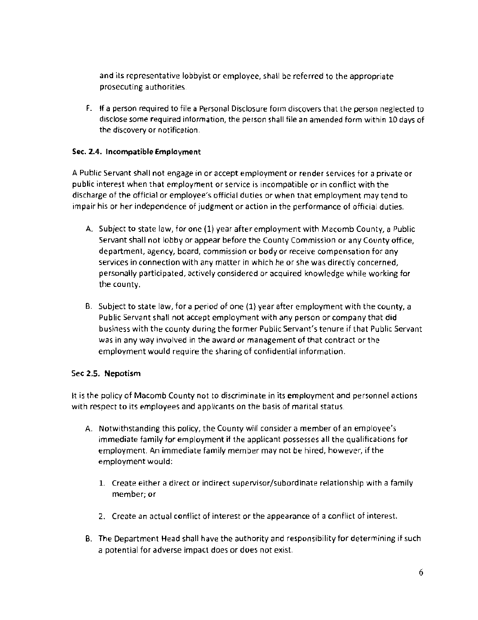and its representative lobbyist or employee, shall be referred to the appropriate prosecuting authorities.

F. If a person required to file a Personal Disclosure form discovers that the person neglected to disclose some required information, the person shall file an amended form within 10 days of the discovery or notification.

#### Sec. 2.4. Incompatible Employment

A Public Servant shall not engage in or accept employment or render services for a private or public interest when that employment or service is incompatible or in conflict with the discharge of the official or employee's official duties or when that employment may tend to impair his or her independence of judgment or action in the performance of official duties.

- A. Subject to state law, for one (1) year after employment with Macomb County, a Public Servant shall not lobby or appear before the County Commission or any County office, department, agency, board, commission or body or receive compensation for any services in connection with any matter in which he or she was directly concerned, personally participated, actively considered or acquired knowledge while working for the county.
- B. Subject to state law, for a period of one (1) year after employment with the county, a Public Servant shall not accept employment with any person or company that did business with the county during the former Public Servant's tenure if that Public Servant was in any way involved in the award or management of that contract or the employment would require the sharing of confidential information,

#### Sec 2.5. Nepotism

It is the policy of Macomb County not to discriminate in its employment and personnel actions with respect to its employees and applicants on the basis of marital status.

- A. Notwithstanding this policy, the County will consider a member of an employee's immediate family for employment if the applicant possesses all the qualifications for employment. An immediate family member may not be hired, however, ifthe employment would:
	- 1. Create either a direct or indirect supervisor/subordinate relationship with a family member; or
	- 2. Create an actual conflict of interest or the appearance of a conflict of interest.
- B. The Department Head shall have the authority and responsibility for determining if such a potential for adverse impact does or does not exist.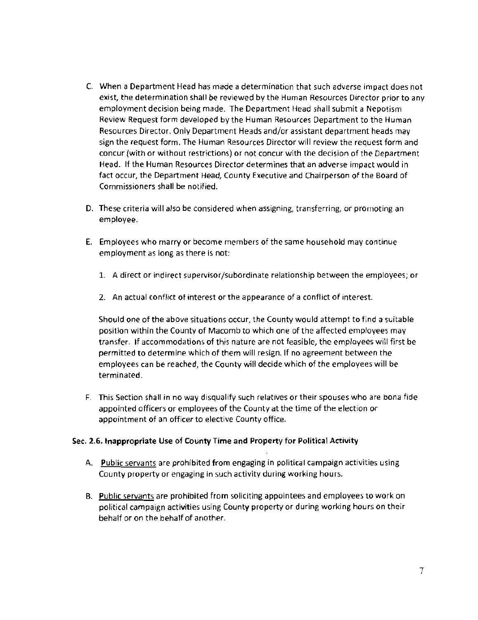- C. When a Department Head has made a determination that such adverse impact does not exist, the determination shall be reviewed by the Human Resources Director prior to any employment decision being made. The Department Head shall submit a Nepotism Review Request form developed by the Human Resources Department to the Human Resources Director. Only Department Heads and/or assistant department heads may sign the request form. The Human Resources Director will review the request form and concur (with or without restrictions) or not concur with the decision of the Department Head. If the Human Resources Director determines that an adverse impact would in fact occur, the Department Head, County Executive and Chairperson of the Board of Commissioners shall be notified.
- D. These criteria will also be considered when assigning, transferring, or promoting an employee.
- E. Employees who marry or become members of the same household may continue employment as long as there is not:
	- 1. A direct or indirect supervisor/subordinate relationship between the employees; or
	- 2. An actual conflict of interest or the appearance of a conflict of interest.

Should one of the above situations occur, the County would attempt to find a suitable position within the County of Macomb to which one of the affected employees may transfer. If accommodations of this nature are not feasible, the employees will first be permitted to determine which of them will resign. If no agreement between the employees can be reached, the County will decide which of the employees will be terminated.

F. This Section shall in no way disqualify such relatives or their spouses who are bona fide appointed officers or employees of the County at the time of the election or appointment of an officer to elective County office.

#### Sec. 2.6. Inappropriate Use of County Time and Property for Political Activity

- A. Public servants are prohibited from engaging in political campaign activities using County property or engaging in such activity during working hours.
- B. Public servants are prohibited from soliciting appointees and employees to work on political campaign activities using County property or during working hours on their behalf or on the behalf of another.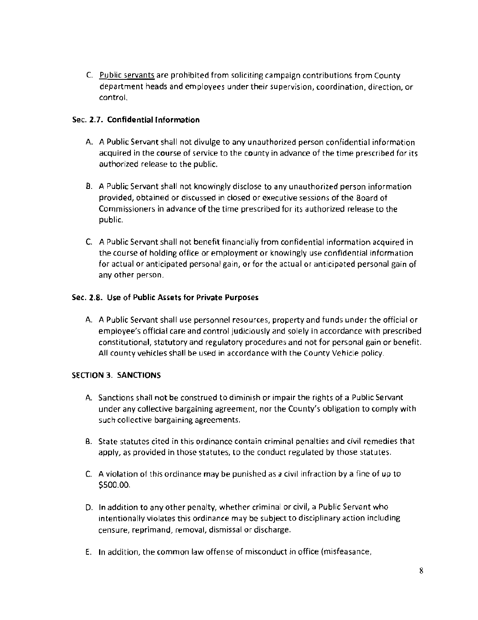C. Public servants are prohibited from soliciting campaign contributions from County department heads and employees under their supervision, coordination, direction, or control.

#### Sec. 2.7. Confidential Information

- A. A Public Servant shall not divulge to any unauthorized person confidential information acquired in the course of service to the county in advance of the time prescribed for its authorized release to the public.
- B. A Public Servant shall not knowingly disclose to any unauthorized person information provided, obtained or discussed in closed or executive sessions of the Board of Commissioners in advance of the time prescribed for its authorized release to the public.
- C. A Public Servant shall not benefit financiaJly from confidential information acquired in the course of holding office or employment or knowingly use confidential information for actual or anticipated persona! gain, or for the actual or anticipated personal gain of any other person.

### Sec. 2.8. Use of Public Assets for Private Purposes

A. A Public Servant shall use personnel resources, property and funds under the official or employee's official care and control judiciously and solely in accordance with prescribed constitutional, statutory and regulatory procedures and not for personal gain or benefit. All county vehicles shall be used in accordance with the County Vehicle policy.

#### SECTION 3. SANCTIONS

- A. Sanctions shall not be construed to diminish or impair the rights of a Public Servant under any collective bargaining agreement, nor the County's obligation to comply with such collective bargaining agreements.
- 8. State statutes cited in this ordinance contain criminal penalties and civil remedies that apply, as provided in those statutes, to the conduct regulated by those statutes.
- C. A violation of this ordinance may be punishedas a civil infraction by a fine of up to \$500.00.
- D. In addition to any other penalty, whether criminal or civil, a Public Servant who intentionally violates this ordinance may be subject to disciplinary action including censure, reprimand, removal, dismissal or discharge.
- E. In addition, the common law offense of misconduct in office (misfeasance,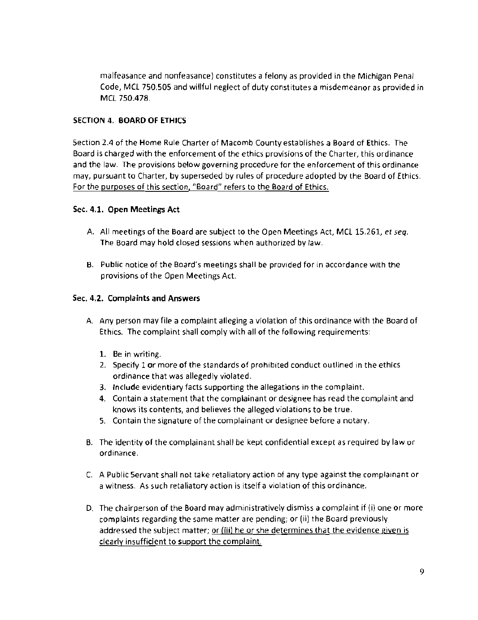malfeasance and nonfeasance) constitutes a felony as provided in the Michigan Penal Code, MCL 750.505 and willful neglect of duty constitutes a misdemeanor as provided in MeL 750.478

#### SECTION 4. BOARD OF ETHICS

Section 2.4 of the Home Rule Charter of Macomb County establishes a Board of Ethics. The Board is charged with the enforcement of the ethics provisions of the Charter, this ordinance and the law. The provisions below governing procedure for the enforcement of this ordinance may, pursuant to Charter, by superseded by rules of procedure adopted by the Board of Ethics. For the purposes of this section, "Board" refers to the Board of Ethics.

#### Sec. 4.1. Open Meetings Act

- A. All meetings of the Board are subject to the Open Meetings Act, MCL 15.261, *et seq.* The Board may hold closed sessions when authorized by law.
- B. Public notice of the Board's meetings shall be provided for in accordance with the provisions of the Open Meetings Act.

#### Sec. 4.2. Complaints and Answers

- A. Any person may file a complaint alleging a violation of this ordinance with the Board of Ethics. The complaint shall comply with all of the following requirements:
	- 1. Be in writing.
	- 2. Specify 1 or more of the standards of prohibited conduct outlined in the ethics ordinance that was allegedly violated.
	- 3. Include evidentiary facts supporting the allegations in the complaint.
	- 4. Contain a statement that the complainant or designee has read the complaint and knows its contents, and believes the alleged violations to be true.
	- 5. Contain the signature of the complainant or designee before a notary.
- B. The identity of the complainant shall be kept confidential except as required by law or ordinance.
- C. A Public Servant shall not take retaliatory action of any type against the complainant or a witness. As such retaliatory action is itself a violation of this ordinance.
- D. The chairperson of the Board may administratively dismiss a complaint if  $(i)$  one or more complaints regarding the same matter are pending; or (ii) the Board previously addressed the subject matter; or (iii) he or she determines that the evidence given is clearly insufficient to support the complaint.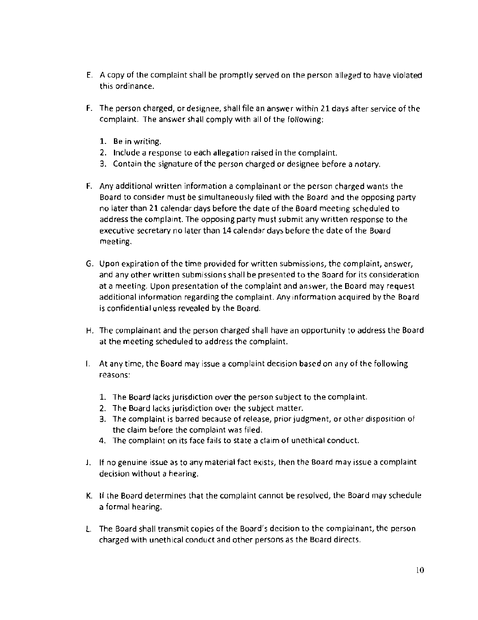- E. A copy of the complaint shall be promptly served on the person alleged to have violated this ordinance.
- F. The person charged, or designee, shall file an answer within 21 days after service of the complaint. The answer shall comply with all of the following:
	- 1. Be in writing.
	- 2. Include a response to each allegation raised in the complaint.
	- 3. Contain the signature of the person charged or designee before a notary.
- F. Any additional written information a complainant or the person charged wants the Board to consider must be simultaneously filed with the Board and the opposing party no later than 21 calendar days before the date of the Board meeting scheduled to address the complaint. The opposing party must submit any written response to the executive secretary no later than 14 calendar days before the date of the Board meeting.
- G. Upon expiration of the time provided for written submissions, the complaint, answer, and any other written submissions shall be presented to the Board for its consideration at a meeting. Upon presentation of the complaint and answer, the Board may request additional information regarding the complaint. Any information acquired by the Board is confidential unless revealed by the Board.
- H. The complainant and the person charged shall have an opportunity to address the Board at the meeting scheduled to address the complaint.
- I. At any time, the Board may issue a complaint decision based on any of the following reasons:
	- 1. The Board lacks jurisdiction over the person subject to the complaint.
	- 2. The Board lacks jurisdiction over the subject matter.
	- 3. The complaint is barred because of release, prior judgment, or other disposition of the claim before the complaint was filed.
	- 4. The complaint on its face fails to state a claim of unethical conduct.
- J. If no genuine issue as to any material fact exists, then the Board may issue a complaint decision without a hearing.
- K. **If** the Board determines that the complaint cannot be resolved, the Board may schedule a formal hearing.
- L. The Board shall transmit copies of the Board's decision to the complainant, the person charged with unethical conduct and other persons as the Board directs.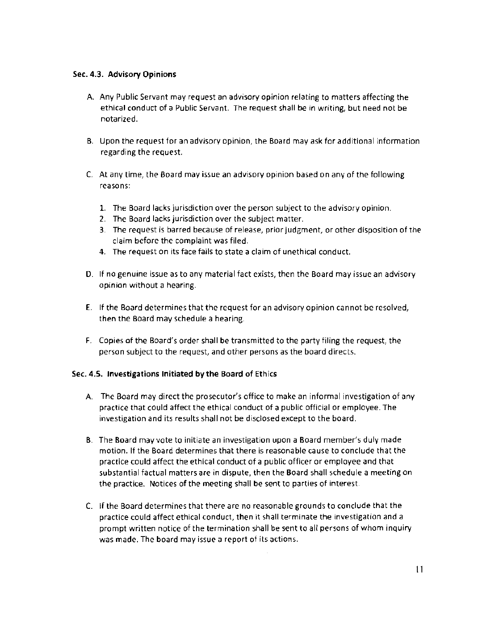#### Sec. 4.3. Advisory Opinions

- A. Any Public Servant may request an advisory opinion relating to matters affecting the ethical conduct of a Public Servant. The request shall be in writing, but need not be notarized.
- B. Upon the request for an advisory opinion, the Board may ask for additional information regarding the request.
- C. At any time, the Board may issue an advisory opinion based on any of the following reasons:
	- 1. The Board lacks jurisdiction over the person subject to the advisory opinion.
	- 2. The Board lacks jurisdiction over the subject matter.
	- 3. The request is barred because of release, prior judgment, or other disposition of the claim before the complaint was filed.
	- 4. The request on its face fails to state a claim of unethical conduct.
- D. If no genuine issue as to any material fact exists, then the Board may issue an advisory opinion without a hearing.
- E. If the Board determines that the request for an advisory opinion cannot be resolved, then the Board may schedule a hearing.
- F. Copies of the Board's order shall be transmitted to the party filing the request, the person subject to the request, and other persons as the board directs.

#### Sec. 4.5. Investigations Initiated by the Board of Ethics

- A. The Board may direct the prosecutor's office to make an informal investigation of any practice that could affect the ethical conduct of a public official or employee. The investigation and its results shall not be disclosed except to the board.
- B. The Board may vote to initiate an investigation upon a Board member's duly made motion. If the Board determines that there is reasonable cause to conclude that the practice could affect the ethical conduct of a public officer or employee and that substantial factual matters are in dispute, then the Board shall schedule a meeting on the practice. Notices of the meeting shall be sent to parties of interest.
- C. If the Board determines that there are no reasonable grounds to conclude that the practice could affect ethical conduct, then it shall terminate the investigation and a prompt written notice of the termination shall be sent to all persons of whom inquiry was made. The board may issue a report of its actions.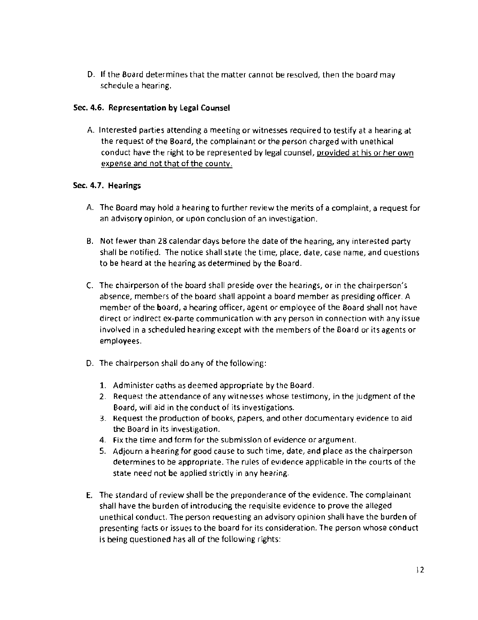D. If the Board determines that the matter cannot be resolved, then the board may schedule a hearing.

#### Sec. 4.6. Representation by legal Counsel

A. Interested parties attending a meeting or witnesses required to testify at a hearing at the request of the Board, the complainant or the person charged with unethical conduct have the right to be represented by legal counsel, provided at his or her own expense and not that of the county.

### Sec. 4.7. Hearings

- A. The Board may hold a hearing to further review the merits of a complaint, a request for an advisory opinion, or upon conclusion of an investigation.
- B. Not fewer than 28 calendar days before the date of the hearing, any interested party shall be notified. The notice shall state the time, place, date, case name, and questions to be heard at the hearing as determined by the Board.
- C. The chairperson of the board shall preside over the hearings, or in the chairperson's absence, members of the board shall appoint a board member as presiding officer. A member of the board, a hearing officer, agent or employee of the Board shall not have direct or indirect ex-parte communication with any person in connection with any issue involved in a scheduled hearing except with the members of the Board or its agents or employees.
- D. The chairperson shall do any of the following:
	- 1. Administer oaths as deemed appropriate by the Board.
	- 2. Request the attendance of any witnesses whose testimony, in the judgment of the Board, will aid in the conduct of its investigations.
	- 3. Request the production of books, papers, and other documentary evidence to aid the Board in its investigation.
	- 4. Fix the time and form for the submission of evidence or argument.
	- 5. Adjourn a hearing for good cause to such time, date, and place as the chairperson determines to be appropriate. The rules of evidence applicable in the courts of the state need not be applied strictly in any hearing.
- E. The standard of review shall be the preponderance of the evidence. The complainant shall have the burden of introducing the requisite evidence to prove the alleged unethical conduct. The person requesting an advisory opinion shall have the burden of presenting facts or issues to the board for its consideration. The person whose conduct is being questioned has all of the following rights: